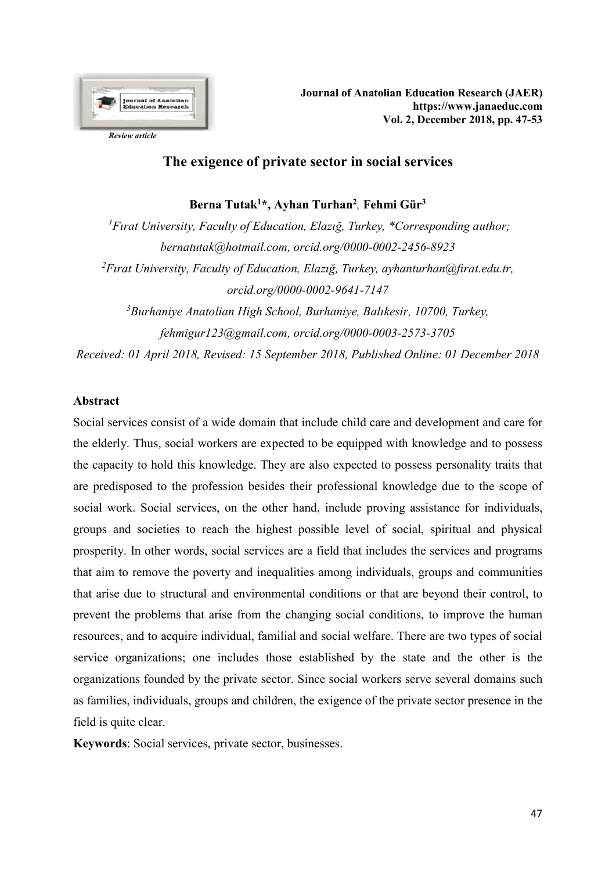

# The exigence of private sector in social services

Berna Tutak<sup>1\*</sup>, Ayhan Turhan<sup>2</sup>, Fehmi Gür<sup>3</sup>

<sup>1</sup>Firat University, Faculty of Education, Elazig, Turkey, \*Corresponding author; bernatutak@hotmail.com, orcid.org/0000-0002-2456-8923 <sup>2</sup>Firat University, Faculty of Education, Elazig, Turkey, ayhanturhan@firat.edu.tr, orcid.org/0000-0002-9641-7147  $3$ Burhaniye Anatolian High School, Burhaniye, Balıkesir, 10700, Turkey, fehmigur123@gmail.com, orcid.org/0000-0003-2573-3705

Received: 01 April 2018, Revised: 15 September 2018, Published Online: 01 December 2018

## Abstract

Social services consist of a wide domain that include child care and development and care for the elderly. Thus, social workers are expected to be equipped with knowledge and to possess the capacity to hold this knowledge. They are also expected to possess personality traits that are predisposed to the profession besides their professional knowledge due to the scope of social work. Social services, on the other hand, include proving assistance for individuals, groups and societies to reach the highest possible level of social, spiritual and physical prosperity. In other words, social services are a field that includes the services and programs that aim to remove the poverty and inequalities among individuals, groups and communities that arise due to structural and environmental conditions or that are beyond their control, to prevent the problems that arise from the changing social conditions, to improve the human resources, and to acquire individual, familial and social welfare. There are two types of social service organizations; one includes those established by the state and the other is the organizations founded by the private sector. Since social workers serve several domains such as families, individuals, groups and children, the exigence of the private sector presence in the field is quite clear.

Keywords: Social services, private sector, businesses.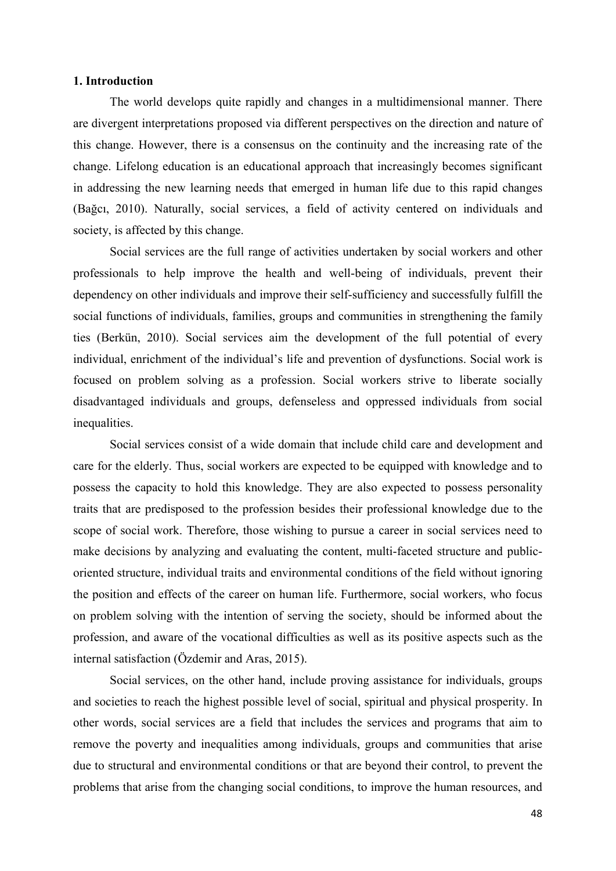### 1. Introduction

The world develops quite rapidly and changes in a multidimensional manner. There are divergent interpretations proposed via different perspectives on the direction and nature of this change. However, there is a consensus on the continuity and the increasing rate of the change. Lifelong education is an educational approach that increasingly becomes significant in addressing the new learning needs that emerged in human life due to this rapid changes (Bağcı, 2010). Naturally, social services, a field of activity centered on individuals and society, is affected by this change.

Social services are the full range of activities undertaken by social workers and other professionals to help improve the health and well-being of individuals, prevent their dependency on other individuals and improve their self-sufficiency and successfully fulfill the social functions of individuals, families, groups and communities in strengthening the family ties (Berkün, 2010). Social services aim the development of the full potential of every individual, enrichment of the individual's life and prevention of dysfunctions. Social work is focused on problem solving as a profession. Social workers strive to liberate socially disadvantaged individuals and groups, defenseless and oppressed individuals from social inequalities.

Social services consist of a wide domain that include child care and development and care for the elderly. Thus, social workers are expected to be equipped with knowledge and to possess the capacity to hold this knowledge. They are also expected to possess personality traits that are predisposed to the profession besides their professional knowledge due to the scope of social work. Therefore, those wishing to pursue a career in social services need to make decisions by analyzing and evaluating the content, multi-faceted structure and publicoriented structure, individual traits and environmental conditions of the field without ignoring the position and effects of the career on human life. Furthermore, social workers, who focus on problem solving with the intention of serving the society, should be informed about the profession, and aware of the vocational difficulties as well as its positive aspects such as the internal satisfaction (Özdemir and Aras, 2015).

Social services, on the other hand, include proving assistance for individuals, groups and societies to reach the highest possible level of social, spiritual and physical prosperity. In other words, social services are a field that includes the services and programs that aim to remove the poverty and inequalities among individuals, groups and communities that arise due to structural and environmental conditions or that are beyond their control, to prevent the problems that arise from the changing social conditions, to improve the human resources, and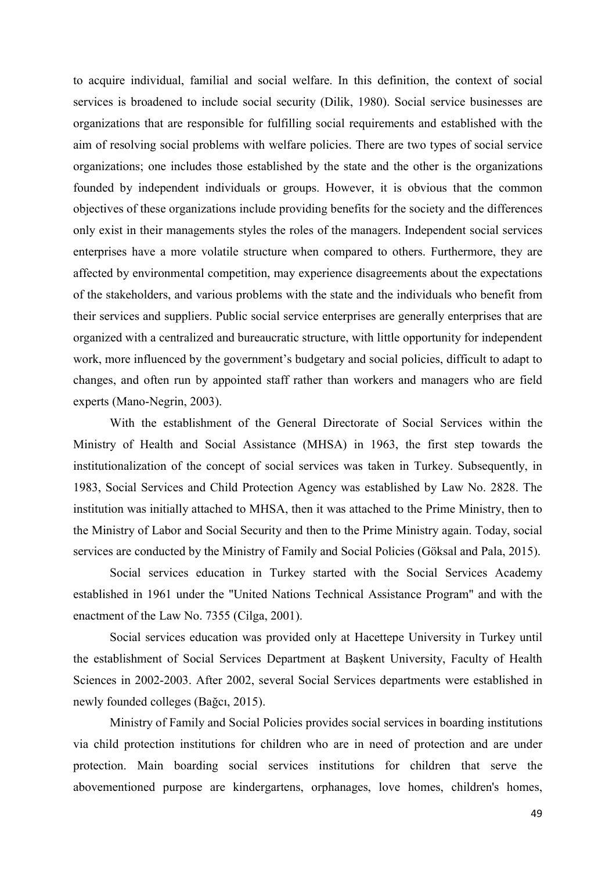to acquire individual, familial and social welfare. In this definition, the context of social services is broadened to include social security (Dilik, 1980). Social service businesses are organizations that are responsible for fulfilling social requirements and established with the aim of resolving social problems with welfare policies. There are two types of social service organizations; one includes those established by the state and the other is the organizations founded by independent individuals or groups. However, it is obvious that the common objectives of these organizations include providing benefits for the society and the differences only exist in their managements styles the roles of the managers. Independent social services enterprises have a more volatile structure when compared to others. Furthermore, they are affected by environmental competition, may experience disagreements about the expectations of the stakeholders, and various problems with the state and the individuals who benefit from their services and suppliers. Public social service enterprises are generally enterprises that are organized with a centralized and bureaucratic structure, with little opportunity for independent work, more influenced by the government's budgetary and social policies, difficult to adapt to changes, and often run by appointed staff rather than workers and managers who are field experts (Mano-Negrin, 2003).

With the establishment of the General Directorate of Social Services within the Ministry of Health and Social Assistance (MHSA) in 1963, the first step towards the institutionalization of the concept of social services was taken in Turkey. Subsequently, in 1983, Social Services and Child Protection Agency was established by Law No. 2828. The institution was initially attached to MHSA, then it was attached to the Prime Ministry, then to the Ministry of Labor and Social Security and then to the Prime Ministry again. Today, social services are conducted by the Ministry of Family and Social Policies (Göksal and Pala, 2015).

Social services education in Turkey started with the Social Services Academy established in 1961 under the "United Nations Technical Assistance Program" and with the enactment of the Law No. 7355 (Cilga, 2001).

Social services education was provided only at Hacettepe University in Turkey until the establishment of Social Services Department at Başkent University, Faculty of Health Sciences in 2002-2003. After 2002, several Social Services departments were established in newly founded colleges (Bağcı, 2015).

Ministry of Family and Social Policies provides social services in boarding institutions via child protection institutions for children who are in need of protection and are under protection. Main boarding social services institutions for children that serve the abovementioned purpose are kindergartens, orphanages, love homes, children's homes,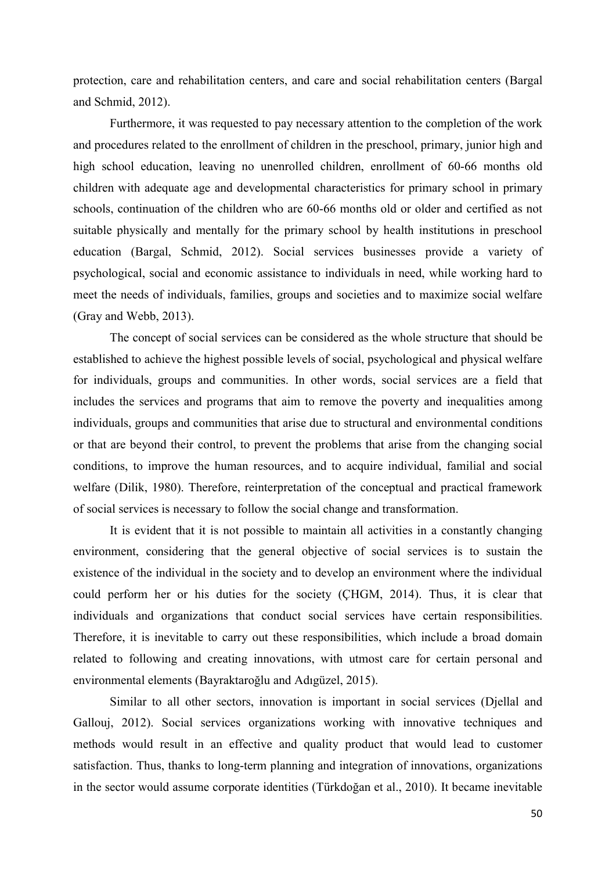protection, care and rehabilitation centers, and care and social rehabilitation centers (Bargal and Schmid, 2012).

Furthermore, it was requested to pay necessary attention to the completion of the work and procedures related to the enrollment of children in the preschool, primary, junior high and high school education, leaving no unenrolled children, enrollment of 60-66 months old children with adequate age and developmental characteristics for primary school in primary schools, continuation of the children who are 60-66 months old or older and certified as not suitable physically and mentally for the primary school by health institutions in preschool education (Bargal, Schmid, 2012). Social services businesses provide a variety of psychological, social and economic assistance to individuals in need, while working hard to meet the needs of individuals, families, groups and societies and to maximize social welfare (Gray and Webb, 2013).

The concept of social services can be considered as the whole structure that should be established to achieve the highest possible levels of social, psychological and physical welfare for individuals, groups and communities. In other words, social services are a field that includes the services and programs that aim to remove the poverty and inequalities among individuals, groups and communities that arise due to structural and environmental conditions or that are beyond their control, to prevent the problems that arise from the changing social conditions, to improve the human resources, and to acquire individual, familial and social welfare (Dilik, 1980). Therefore, reinterpretation of the conceptual and practical framework of social services is necessary to follow the social change and transformation.

 It is evident that it is not possible to maintain all activities in a constantly changing environment, considering that the general objective of social services is to sustain the existence of the individual in the society and to develop an environment where the individual could perform her or his duties for the society (ÇHGM, 2014). Thus, it is clear that individuals and organizations that conduct social services have certain responsibilities. Therefore, it is inevitable to carry out these responsibilities, which include a broad domain related to following and creating innovations, with utmost care for certain personal and environmental elements (Bayraktaroğlu and Adıgüzel, 2015).

Similar to all other sectors, innovation is important in social services (Djellal and Gallouj, 2012). Social services organizations working with innovative techniques and methods would result in an effective and quality product that would lead to customer satisfaction. Thus, thanks to long-term planning and integration of innovations, organizations in the sector would assume corporate identities (Türkdoğan et al., 2010). It became inevitable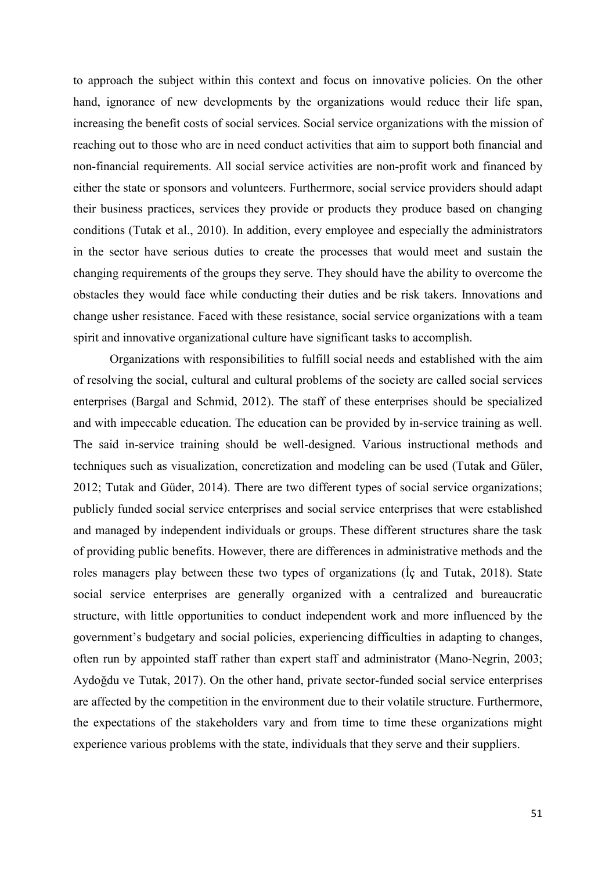to approach the subject within this context and focus on innovative policies. On the other hand, ignorance of new developments by the organizations would reduce their life span, increasing the benefit costs of social services. Social service organizations with the mission of reaching out to those who are in need conduct activities that aim to support both financial and non-financial requirements. All social service activities are non-profit work and financed by either the state or sponsors and volunteers. Furthermore, social service providers should adapt their business practices, services they provide or products they produce based on changing conditions (Tutak et al., 2010). In addition, every employee and especially the administrators in the sector have serious duties to create the processes that would meet and sustain the changing requirements of the groups they serve. They should have the ability to overcome the obstacles they would face while conducting their duties and be risk takers. Innovations and change usher resistance. Faced with these resistance, social service organizations with a team spirit and innovative organizational culture have significant tasks to accomplish.

Organizations with responsibilities to fulfill social needs and established with the aim of resolving the social, cultural and cultural problems of the society are called social services enterprises (Bargal and Schmid, 2012). The staff of these enterprises should be specialized and with impeccable education. The education can be provided by in-service training as well. The said in-service training should be well-designed. Various instructional methods and techniques such as visualization, concretization and modeling can be used (Tutak and Güler, 2012; Tutak and Güder, 2014). There are two different types of social service organizations; publicly funded social service enterprises and social service enterprises that were established and managed by independent individuals or groups. These different structures share the task of providing public benefits. However, there are differences in administrative methods and the roles managers play between these two types of organizations (İç and Tutak, 2018). State social service enterprises are generally organized with a centralized and bureaucratic structure, with little opportunities to conduct independent work and more influenced by the government's budgetary and social policies, experiencing difficulties in adapting to changes, often run by appointed staff rather than expert staff and administrator (Mano-Negrin, 2003; Aydoğdu ve Tutak, 2017). On the other hand, private sector-funded social service enterprises are affected by the competition in the environment due to their volatile structure. Furthermore, the expectations of the stakeholders vary and from time to time these organizations might experience various problems with the state, individuals that they serve and their suppliers.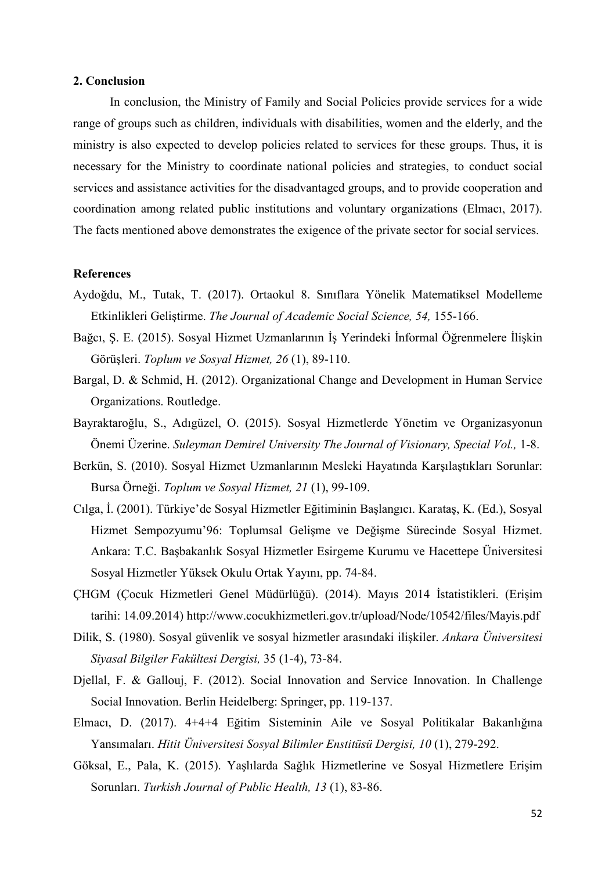### 2. Conclusion

In conclusion, the Ministry of Family and Social Policies provide services for a wide range of groups such as children, individuals with disabilities, women and the elderly, and the ministry is also expected to develop policies related to services for these groups. Thus, it is necessary for the Ministry to coordinate national policies and strategies, to conduct social services and assistance activities for the disadvantaged groups, and to provide cooperation and coordination among related public institutions and voluntary organizations (Elmacı, 2017). The facts mentioned above demonstrates the exigence of the private sector for social services.

#### **References**

- Aydoğdu, M., Tutak, T. (2017). Ortaokul 8. Sınıflara Yönelik Matematiksel Modelleme Etkinlikleri Geliştirme. The Journal of Academic Social Science, 54, 155-166.
- Bağcı, Ş. E. (2015). Sosyal Hizmet Uzmanlarının İş Yerindeki İnformal Öğrenmelere İlişkin Görüşleri. Toplum ve Sosyal Hizmet, 26 (1), 89-110.
- Bargal, D. & Schmid, H. (2012). Organizational Change and Development in Human Service Organizations. Routledge.
- Bayraktaroğlu, S., Adıgüzel, O. (2015). Sosyal Hizmetlerde Yönetim ve Organizasyonun Önemi Üzerine. Suleyman Demirel University The Journal of Visionary, Special Vol., 1-8.
- Berkün, S. (2010). Sosyal Hizmet Uzmanlarının Mesleki Hayatında Karşılaştıkları Sorunlar: Bursa Örneği. Toplum ve Sosyal Hizmet, 21 (1), 99-109.
- Cılga, İ. (2001). Türkiye'de Sosyal Hizmetler Eğitiminin Başlangıcı. Karataş, K. (Ed.), Sosyal Hizmet Sempozyumu'96: Toplumsal Gelişme ve Değişme Sürecinde Sosyal Hizmet. Ankara: T.C. Başbakanlık Sosyal Hizmetler Esirgeme Kurumu ve Hacettepe Üniversitesi Sosyal Hizmetler Yüksek Okulu Ortak Yayını, pp. 74-84.
- ÇHGM (Çocuk Hizmetleri Genel Müdürlüğü). (2014). Mayıs 2014 İstatistikleri. (Erişim tarihi: 14.09.2014) http://www.cocukhizmetleri.gov.tr/upload/Node/10542/files/Mayis.pdf
- Dilik, S. (1980). Sosyal güvenlik ve sosyal hizmetler arasındaki ilişkiler. Ankara Üniversitesi Siyasal Bilgiler Fakültesi Dergisi, 35 (1-4), 73-84.
- Djellal, F. & Gallouj, F. (2012). Social Innovation and Service Innovation. In Challenge Social Innovation. Berlin Heidelberg: Springer, pp. 119-137.
- Elmacı, D. (2017). 4+4+4 Eğitim Sisteminin Aile ve Sosyal Politikalar Bakanlığına Yansımaları. Hitit Üniversitesi Sosyal Bilimler Enstitüsü Dergisi, 10 (1), 279-292.
- Göksal, E., Pala, K. (2015). Yaşlılarda Sağlık Hizmetlerine ve Sosyal Hizmetlere Erişim Sorunları. Turkish Journal of Public Health, 13 (1), 83-86.